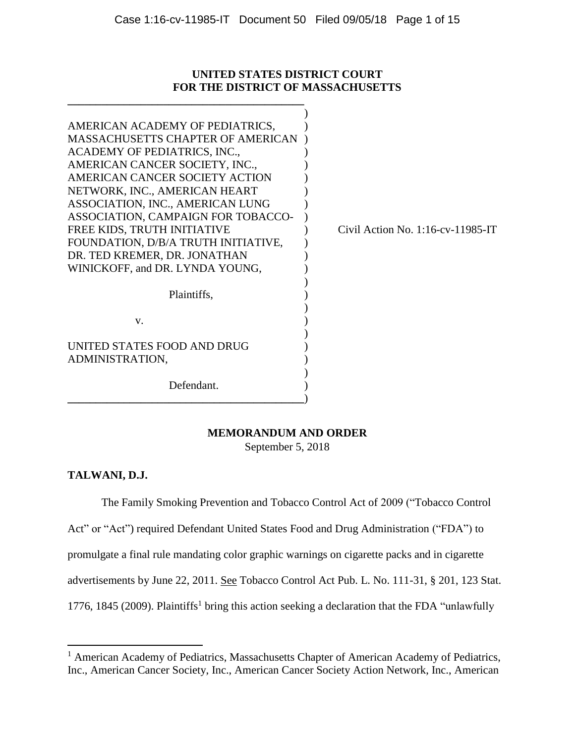# **UNITED STATES DISTRICT COURT FOR THE DISTRICT OF MASSACHUSETTS**

**\_\_\_\_\_\_\_\_\_\_\_\_\_\_\_\_\_\_\_\_\_\_\_\_\_\_\_\_\_\_\_\_\_\_\_\_\_\_\_\_\_\_**

| AMERICAN ACADEMY OF PEDIATRICS,<br><b>MASSACHUSETTS CHAPTER OF AMERICAN</b><br>ACADEMY OF PEDIATRICS, INC.,<br>AMERICAN CANCER SOCIETY, INC.,<br>AMERICAN CANCER SOCIETY ACTION<br>NETWORK, INC., AMERICAN HEART<br>ASSOCIATION, INC., AMERICAN LUNG<br>ASSOCIATION, CAMPAIGN FOR TOBACCO-<br>FREE KIDS, TRUTH INITIATIVE<br>FOUNDATION, D/B/A TRUTH INITIATIVE,<br>DR. TED KREMER, DR. JONATHAN<br>WINICKOFF, and DR. LYNDA YOUNG, | Civil Action No. $1:16$ -cv- $11985$ -IT |
|-------------------------------------------------------------------------------------------------------------------------------------------------------------------------------------------------------------------------------------------------------------------------------------------------------------------------------------------------------------------------------------------------------------------------------------|------------------------------------------|
| Plaintiffs,                                                                                                                                                                                                                                                                                                                                                                                                                         |                                          |
| V.                                                                                                                                                                                                                                                                                                                                                                                                                                  |                                          |
| UNITED STATES FOOD AND DRUG<br>ADMINISTRATION,                                                                                                                                                                                                                                                                                                                                                                                      |                                          |
| Defendant.                                                                                                                                                                                                                                                                                                                                                                                                                          |                                          |

# **MEMORANDUM AND ORDER**

September 5, 2018

# **TALWANI, D.J.**

The Family Smoking Prevention and Tobacco Control Act of 2009 ("Tobacco Control

Act" or "Act") required Defendant United States Food and Drug Administration ("FDA") to promulgate a final rule mandating color graphic warnings on cigarette packs and in cigarette advertisements by June 22, 2011. See Tobacco Control Act Pub. L. No. 111-31, § 201, 123 Stat. 1776, 1845 (2009). Plaintiffs<sup>1</sup> bring this action seeking a declaration that the FDA "unlawfully

 $\overline{\phantom{a}}$ <sup>1</sup> American Academy of Pediatrics, Massachusetts Chapter of American Academy of Pediatrics, Inc., American Cancer Society, Inc., American Cancer Society Action Network, Inc., American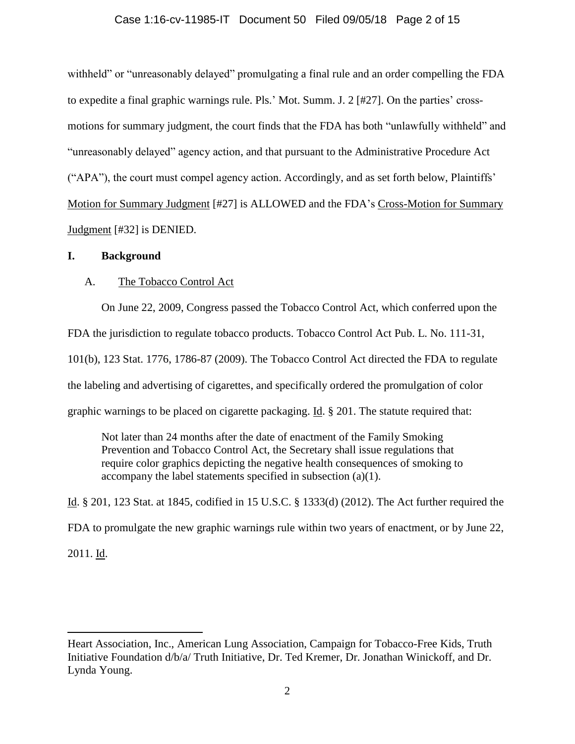# Case 1:16-cv-11985-IT Document 50 Filed 09/05/18 Page 2 of 15

withheld" or "unreasonably delayed" promulgating a final rule and an order compelling the FDA to expedite a final graphic warnings rule. Pls.' Mot. Summ. J. 2 [#27]. On the parties' crossmotions for summary judgment, the court finds that the FDA has both "unlawfully withheld" and "unreasonably delayed" agency action, and that pursuant to the Administrative Procedure Act ("APA"), the court must compel agency action. Accordingly, and as set forth below, Plaintiffs' Motion for Summary Judgment [#27] is ALLOWED and the FDA's Cross-Motion for Summary Judgment [#32] is DENIED.

### **I. Background**

 $\overline{\phantom{a}}$ 

# A. The Tobacco Control Act

On June 22, 2009, Congress passed the Tobacco Control Act, which conferred upon the FDA the jurisdiction to regulate tobacco products. Tobacco Control Act Pub. L. No. 111-31, 101(b), 123 Stat. 1776, 1786-87 (2009). The Tobacco Control Act directed the FDA to regulate the labeling and advertising of cigarettes, and specifically ordered the promulgation of color graphic warnings to be placed on cigarette packaging. Id. § 201. The statute required that:

Not later than 24 months after the date of enactment of the Family Smoking Prevention and Tobacco Control Act, the Secretary shall issue regulations that require color graphics depicting the negative health consequences of smoking to accompany the label statements specified in subsection (a)(1).

Id. § 201, 123 Stat. at 1845, codified in 15 U.S.C. § 1333(d) (2012). The Act further required the FDA to promulgate the new graphic warnings rule within two years of enactment, or by June 22, 2011. Id.

Heart Association, Inc., American Lung Association, Campaign for Tobacco-Free Kids, Truth Initiative Foundation d/b/a/ Truth Initiative, Dr. Ted Kremer, Dr. Jonathan Winickoff, and Dr. Lynda Young.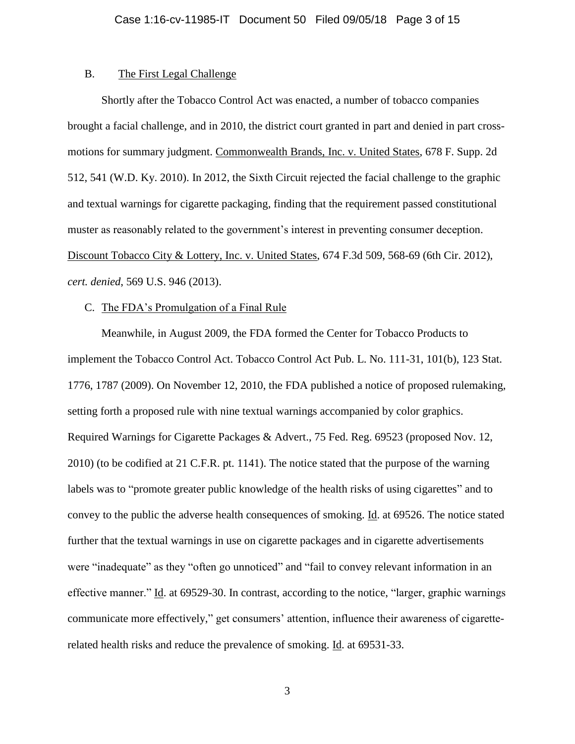# B. The First Legal Challenge

Shortly after the Tobacco Control Act was enacted, a number of tobacco companies brought a facial challenge, and in 2010, the district court granted in part and denied in part crossmotions for summary judgment. Commonwealth Brands, Inc. v. United States, 678 F. Supp. 2d 512, 541 (W.D. Ky. 2010). In 2012, the Sixth Circuit rejected the facial challenge to the graphic and textual warnings for cigarette packaging, finding that the requirement passed constitutional muster as reasonably related to the government's interest in preventing consumer deception. Discount Tobacco City & Lottery, Inc. v. United States, 674 F.3d 509, 568-69 (6th Cir. 2012), *cert. denied*, 569 U.S. 946 (2013).

### C. The FDA's Promulgation of a Final Rule

Meanwhile, in August 2009, the FDA formed the Center for Tobacco Products to implement the Tobacco Control Act. Tobacco Control Act Pub. L. No. 111-31, 101(b), 123 Stat. 1776, 1787 (2009). On November 12, 2010, the FDA published a notice of proposed rulemaking, setting forth a proposed rule with nine textual warnings accompanied by color graphics. Required Warnings for Cigarette Packages & Advert., 75 Fed. Reg. 69523 (proposed Nov. 12, 2010) (to be codified at 21 C.F.R. pt. 1141). The notice stated that the purpose of the warning labels was to "promote greater public knowledge of the health risks of using cigarettes" and to convey to the public the adverse health consequences of smoking. Id. at 69526. The notice stated further that the textual warnings in use on cigarette packages and in cigarette advertisements were "inadequate" as they "often go unnoticed" and "fail to convey relevant information in an effective manner." Id. at 69529-30. In contrast, according to the notice, "larger, graphic warnings communicate more effectively," get consumers' attention, influence their awareness of cigaretterelated health risks and reduce the prevalence of smoking. Id. at 69531-33.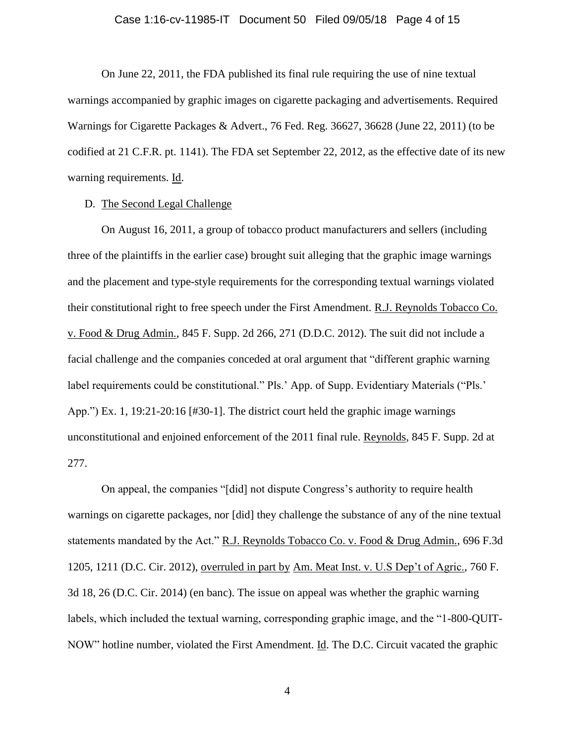#### Case 1:16-cv-11985-IT Document 50 Filed 09/05/18 Page 4 of 15

On June 22, 2011, the FDA published its final rule requiring the use of nine textual warnings accompanied by graphic images on cigarette packaging and advertisements. Required Warnings for Cigarette Packages & Advert., 76 Fed. Reg. 36627, 36628 (June 22, 2011) (to be codified at 21 C.F.R. pt. 1141). The FDA set September 22, 2012, as the effective date of its new warning requirements. Id.

# D. The Second Legal Challenge

On August 16, 2011, a group of tobacco product manufacturers and sellers (including three of the plaintiffs in the earlier case) brought suit alleging that the graphic image warnings and the placement and type-style requirements for the corresponding textual warnings violated their constitutional right to free speech under the First Amendment. R.J. Reynolds Tobacco Co. v. Food & Drug Admin., 845 F. Supp. 2d 266, 271 (D.D.C. 2012). The suit did not include a facial challenge and the companies conceded at oral argument that "different graphic warning label requirements could be constitutional." Pls.' App. of Supp. Evidentiary Materials ("Pls.' App.") Ex. 1, 19:21-20:16 [#30-1]. The district court held the graphic image warnings unconstitutional and enjoined enforcement of the 2011 final rule. Reynolds, 845 F. Supp. 2d at 277.

On appeal, the companies "[did] not dispute Congress's authority to require health warnings on cigarette packages, nor [did] they challenge the substance of any of the nine textual statements mandated by the Act." R.J. Reynolds Tobacco Co. v. Food & Drug Admin., 696 F.3d 1205, 1211 (D.C. Cir. 2012), overruled in part by Am. Meat Inst. v. U.S Dep't of Agric., 760 F. 3d 18, 26 (D.C. Cir. 2014) (en banc). The issue on appeal was whether the graphic warning labels, which included the textual warning, corresponding graphic image, and the "1-800-QUIT-NOW" hotline number, violated the First Amendment. Id. The D.C. Circuit vacated the graphic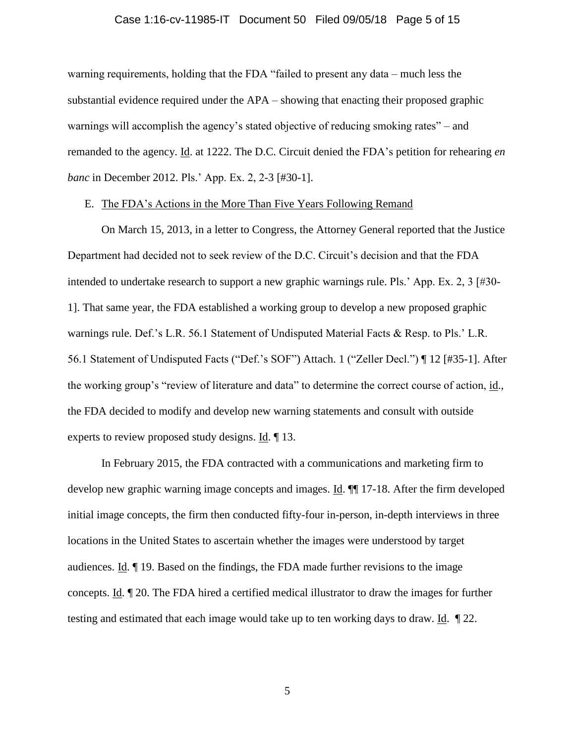#### Case 1:16-cv-11985-IT Document 50 Filed 09/05/18 Page 5 of 15

warning requirements, holding that the FDA "failed to present any data – much less the substantial evidence required under the APA – showing that enacting their proposed graphic warnings will accomplish the agency's stated objective of reducing smoking rates" – and remanded to the agency. Id. at 1222. The D.C. Circuit denied the FDA's petition for rehearing *en banc* in December 2012. Pls.' App. Ex. 2, 2-3 [#30-1].

### E. The FDA's Actions in the More Than Five Years Following Remand

On March 15, 2013, in a letter to Congress, the Attorney General reported that the Justice Department had decided not to seek review of the D.C. Circuit's decision and that the FDA intended to undertake research to support a new graphic warnings rule. Pls.' App. Ex. 2, 3 [#30- 1]. That same year, the FDA established a working group to develop a new proposed graphic warnings rule. Def.'s L.R. 56.1 Statement of Undisputed Material Facts & Resp. to Pls.' L.R. 56.1 Statement of Undisputed Facts ("Def.'s SOF") Attach. 1 ("Zeller Decl.") ¶ 12 [#35-1]. After the working group's "review of literature and data" to determine the correct course of action, id., the FDA decided to modify and develop new warning statements and consult with outside experts to review proposed study designs. Id. ¶ 13.

In February 2015, the FDA contracted with a communications and marketing firm to develop new graphic warning image concepts and images. Id. ¶¶ 17-18. After the firm developed initial image concepts, the firm then conducted fifty-four in-person, in-depth interviews in three locations in the United States to ascertain whether the images were understood by target audiences. Id. ¶ 19. Based on the findings, the FDA made further revisions to the image concepts. Id. ¶ 20. The FDA hired a certified medical illustrator to draw the images for further testing and estimated that each image would take up to ten working days to draw. Id. ¶ 22.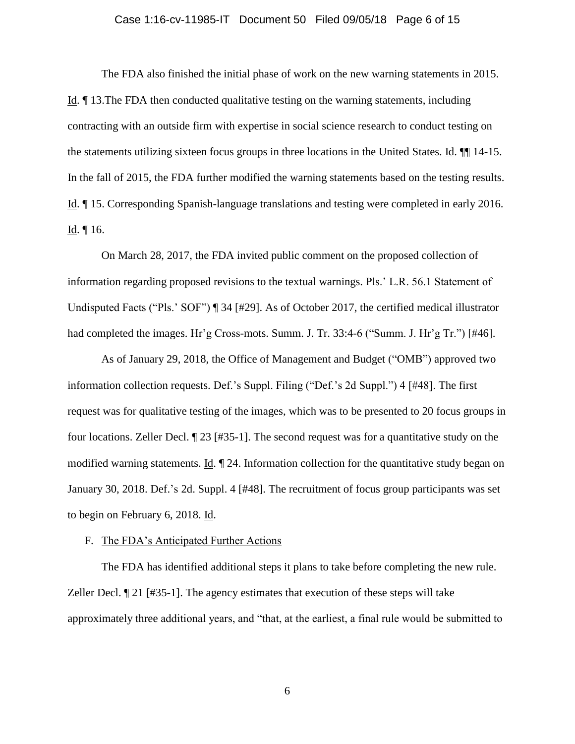#### Case 1:16-cv-11985-IT Document 50 Filed 09/05/18 Page 6 of 15

The FDA also finished the initial phase of work on the new warning statements in 2015. Id. ¶ 13.The FDA then conducted qualitative testing on the warning statements, including contracting with an outside firm with expertise in social science research to conduct testing on the statements utilizing sixteen focus groups in three locations in the United States. Id. ¶¶ 14-15. In the fall of 2015, the FDA further modified the warning statements based on the testing results. Id. ¶ 15. Corresponding Spanish-language translations and testing were completed in early 2016. Id. ¶ 16.

On March 28, 2017, the FDA invited public comment on the proposed collection of information regarding proposed revisions to the textual warnings. Pls.' L.R. 56.1 Statement of Undisputed Facts ("Pls.' SOF") ¶ 34 [#29]. As of October 2017, the certified medical illustrator had completed the images. Hr'g Cross-mots. Summ. J. Tr. 33:4-6 ("Summ. J. Hr'g Tr.") [#46].

As of January 29, 2018, the Office of Management and Budget ("OMB") approved two information collection requests. Def.'s Suppl. Filing ("Def.'s 2d Suppl.") 4 [#48]. The first request was for qualitative testing of the images, which was to be presented to 20 focus groups in four locations. Zeller Decl. ¶ 23 [#35-1]. The second request was for a quantitative study on the modified warning statements. Id. ¶ 24. Information collection for the quantitative study began on January 30, 2018. Def.'s 2d. Suppl. 4 [#48]. The recruitment of focus group participants was set to begin on February 6, 2018. Id.

#### F. The FDA's Anticipated Further Actions

The FDA has identified additional steps it plans to take before completing the new rule. Zeller Decl.  $\llbracket 21 \rvert \neq 35-1$ . The agency estimates that execution of these steps will take approximately three additional years, and "that, at the earliest, a final rule would be submitted to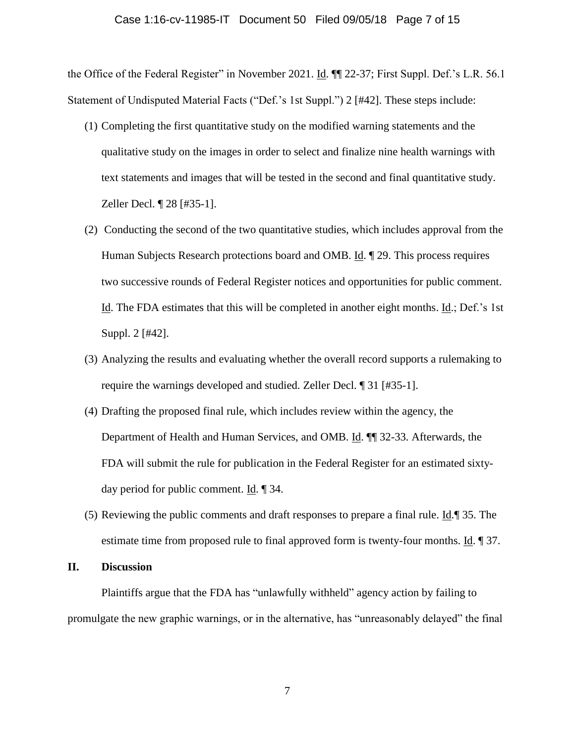the Office of the Federal Register" in November 2021. Id. ¶¶ 22-37; First Suppl. Def.'s L.R. 56.1 Statement of Undisputed Material Facts ("Def.'s 1st Suppl.") 2 [#42]. These steps include:

- (1) Completing the first quantitative study on the modified warning statements and the qualitative study on the images in order to select and finalize nine health warnings with text statements and images that will be tested in the second and final quantitative study. Zeller Decl. ¶ 28 [#35-1].
- (2) Conducting the second of the two quantitative studies, which includes approval from the Human Subjects Research protections board and OMB. Id. 129. This process requires two successive rounds of Federal Register notices and opportunities for public comment. Id. The FDA estimates that this will be completed in another eight months. Id.; Def.'s 1st Suppl. 2 [#42].
- (3) Analyzing the results and evaluating whether the overall record supports a rulemaking to require the warnings developed and studied. Zeller Decl. ¶ 31 [#35-1].
- (4) Drafting the proposed final rule, which includes review within the agency, the Department of Health and Human Services, and OMB. Id. ¶¶ 32-33. Afterwards, the FDA will submit the rule for publication in the Federal Register for an estimated sixtyday period for public comment. Id. ¶ 34.
- (5) Reviewing the public comments and draft responses to prepare a final rule. Id.¶ 35. The estimate time from proposed rule to final approved form is twenty-four months. Id. 1 37.

### **II. Discussion**

Plaintiffs argue that the FDA has "unlawfully withheld" agency action by failing to promulgate the new graphic warnings, or in the alternative, has "unreasonably delayed" the final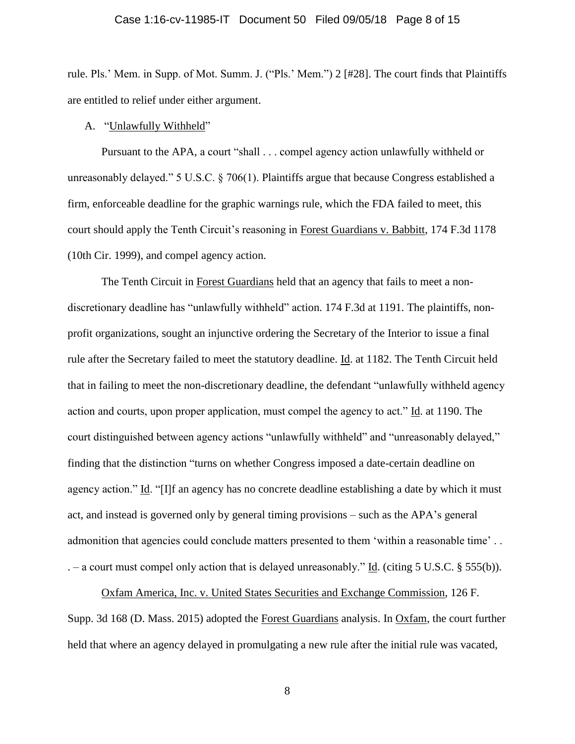#### Case 1:16-cv-11985-IT Document 50 Filed 09/05/18 Page 8 of 15

rule. Pls.' Mem. in Supp. of Mot. Summ. J. ("Pls.' Mem.") 2 [#28]. The court finds that Plaintiffs are entitled to relief under either argument.

A. "Unlawfully Withheld"

Pursuant to the APA, a court "shall . . . compel agency action unlawfully withheld or unreasonably delayed." 5 U.S.C. § 706(1). Plaintiffs argue that because Congress established a firm, enforceable deadline for the graphic warnings rule, which the FDA failed to meet, this court should apply the Tenth Circuit's reasoning in Forest Guardians v. Babbitt, 174 F.3d 1178 (10th Cir. 1999), and compel agency action.

The Tenth Circuit in Forest Guardians held that an agency that fails to meet a nondiscretionary deadline has "unlawfully withheld" action. 174 F.3d at 1191. The plaintiffs, nonprofit organizations, sought an injunctive ordering the Secretary of the Interior to issue a final rule after the Secretary failed to meet the statutory deadline. Id. at 1182. The Tenth Circuit held that in failing to meet the non-discretionary deadline, the defendant "unlawfully withheld agency action and courts, upon proper application, must compel the agency to act." Id. at 1190. The court distinguished between agency actions "unlawfully withheld" and "unreasonably delayed," finding that the distinction "turns on whether Congress imposed a date-certain deadline on agency action." Id. "[I]f an agency has no concrete deadline establishing a date by which it must act, and instead is governed only by general timing provisions – such as the APA's general admonition that agencies could conclude matters presented to them 'within a reasonable time' . .  $-$  a court must compel only action that is delayed unreasonably." Id. (citing 5 U.S.C. § 555(b)).

Oxfam America, Inc. v. United States Securities and Exchange Commission, 126 F. Supp. 3d 168 (D. Mass. 2015) adopted the Forest Guardians analysis. In Oxfam, the court further held that where an agency delayed in promulgating a new rule after the initial rule was vacated,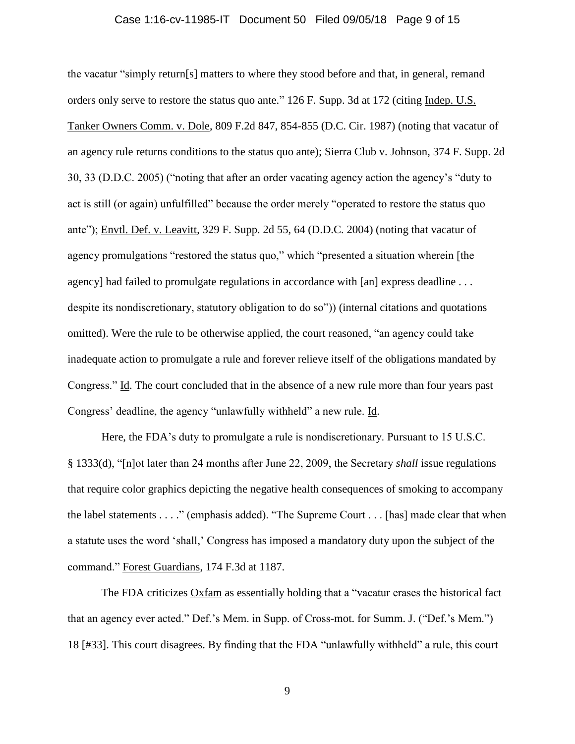#### Case 1:16-cv-11985-IT Document 50 Filed 09/05/18 Page 9 of 15

the vacatur "simply return[s] matters to where they stood before and that, in general, remand orders only serve to restore the status quo ante." 126 F. Supp. 3d at 172 (citing Indep. U.S. Tanker Owners Comm. v. Dole, 809 F.2d 847, 854-855 (D.C. Cir. 1987) (noting that vacatur of an agency rule returns conditions to the status quo ante); Sierra Club v. Johnson, 374 F. Supp. 2d 30, 33 (D.D.C. 2005) ("noting that after an order vacating agency action the agency's "duty to act is still (or again) unfulfilled" because the order merely "operated to restore the status quo ante"); Envtl. Def. v. Leavitt, 329 F. Supp. 2d 55, 64 (D.D.C. 2004) (noting that vacatur of agency promulgations "restored the status quo," which "presented a situation wherein [the agency] had failed to promulgate regulations in accordance with [an] express deadline . . . despite its nondiscretionary, statutory obligation to do so")) (internal citations and quotations omitted). Were the rule to be otherwise applied, the court reasoned, "an agency could take inadequate action to promulgate a rule and forever relieve itself of the obligations mandated by Congress." Id. The court concluded that in the absence of a new rule more than four years past Congress' deadline, the agency "unlawfully withheld" a new rule. Id.

Here, the FDA's duty to promulgate a rule is nondiscretionary. Pursuant to 15 U.S.C. § 1333(d), "[n]ot later than 24 months after June 22, 2009, the Secretary *shall* issue regulations that require color graphics depicting the negative health consequences of smoking to accompany the label statements . . . ." (emphasis added). "The Supreme Court . . . [has] made clear that when a statute uses the word 'shall,' Congress has imposed a mandatory duty upon the subject of the command." Forest Guardians, 174 F.3d at 1187.

The FDA criticizes Oxfam as essentially holding that a "vacatur erases the historical fact that an agency ever acted." Def.'s Mem. in Supp. of Cross-mot. for Summ. J. ("Def.'s Mem.") 18 [#33]. This court disagrees. By finding that the FDA "unlawfully withheld" a rule, this court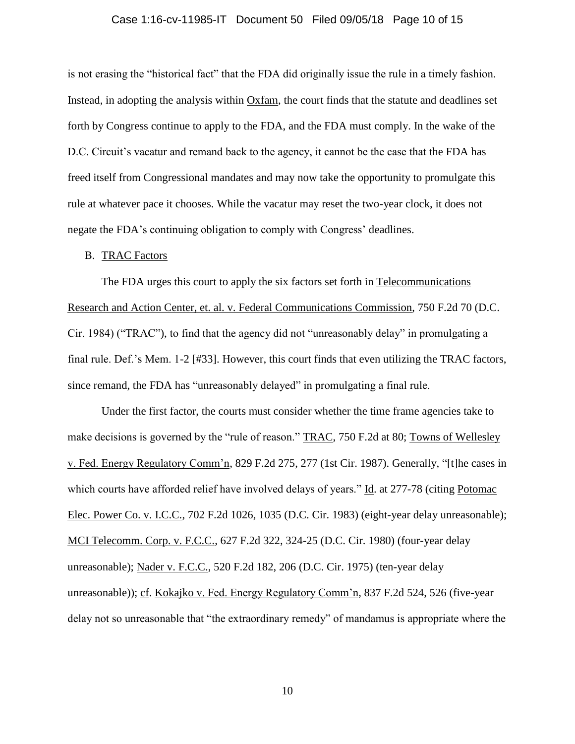### Case 1:16-cv-11985-IT Document 50 Filed 09/05/18 Page 10 of 15

is not erasing the "historical fact" that the FDA did originally issue the rule in a timely fashion. Instead, in adopting the analysis within Oxfam, the court finds that the statute and deadlines set forth by Congress continue to apply to the FDA, and the FDA must comply. In the wake of the D.C. Circuit's vacatur and remand back to the agency, it cannot be the case that the FDA has freed itself from Congressional mandates and may now take the opportunity to promulgate this rule at whatever pace it chooses. While the vacatur may reset the two-year clock, it does not negate the FDA's continuing obligation to comply with Congress' deadlines.

# B. TRAC Factors

The FDA urges this court to apply the six factors set forth in Telecommunications Research and Action Center, et. al. v. Federal Communications Commission, 750 F.2d 70 (D.C. Cir. 1984) ("TRAC"), to find that the agency did not "unreasonably delay" in promulgating a final rule. Def.'s Mem. 1-2 [#33]. However, this court finds that even utilizing the TRAC factors, since remand, the FDA has "unreasonably delayed" in promulgating a final rule.

Under the first factor, the courts must consider whether the time frame agencies take to make decisions is governed by the "rule of reason." TRAC, 750 F.2d at 80; Towns of Wellesley v. Fed. Energy Regulatory Comm'n, 829 F.2d 275, 277 (1st Cir. 1987). Generally, "[t]he cases in which courts have afforded relief have involved delays of years." Id. at 277-78 (citing Potomac Elec. Power Co. v. I.C.C., 702 F.2d 1026, 1035 (D.C. Cir. 1983) (eight-year delay unreasonable); MCI Telecomm. Corp. v. F.C.C., 627 F.2d 322, 324-25 (D.C. Cir. 1980) (four-year delay unreasonable); Nader v. F.C.C., 520 F.2d 182, 206 (D.C. Cir. 1975) (ten-year delay unreasonable)); cf. Kokajko v. Fed. Energy Regulatory Comm'n, 837 F.2d 524, 526 (five-year delay not so unreasonable that "the extraordinary remedy" of mandamus is appropriate where the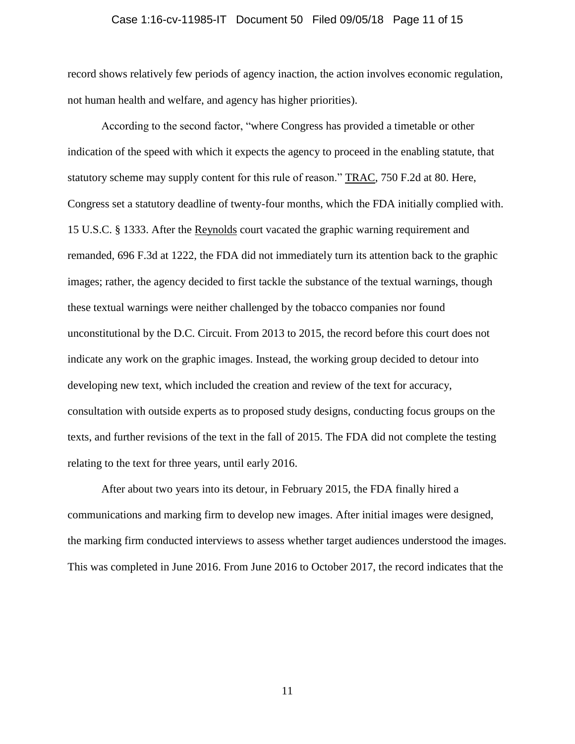### Case 1:16-cv-11985-IT Document 50 Filed 09/05/18 Page 11 of 15

record shows relatively few periods of agency inaction, the action involves economic regulation, not human health and welfare, and agency has higher priorities).

According to the second factor, "where Congress has provided a timetable or other indication of the speed with which it expects the agency to proceed in the enabling statute, that statutory scheme may supply content for this rule of reason." TRAC, 750 F.2d at 80. Here, Congress set a statutory deadline of twenty-four months, which the FDA initially complied with. 15 U.S.C. § 1333. After the Reynolds court vacated the graphic warning requirement and remanded, 696 F.3d at 1222, the FDA did not immediately turn its attention back to the graphic images; rather, the agency decided to first tackle the substance of the textual warnings, though these textual warnings were neither challenged by the tobacco companies nor found unconstitutional by the D.C. Circuit. From 2013 to 2015, the record before this court does not indicate any work on the graphic images. Instead, the working group decided to detour into developing new text, which included the creation and review of the text for accuracy, consultation with outside experts as to proposed study designs, conducting focus groups on the texts, and further revisions of the text in the fall of 2015. The FDA did not complete the testing relating to the text for three years, until early 2016.

After about two years into its detour, in February 2015, the FDA finally hired a communications and marking firm to develop new images. After initial images were designed, the marking firm conducted interviews to assess whether target audiences understood the images. This was completed in June 2016. From June 2016 to October 2017, the record indicates that the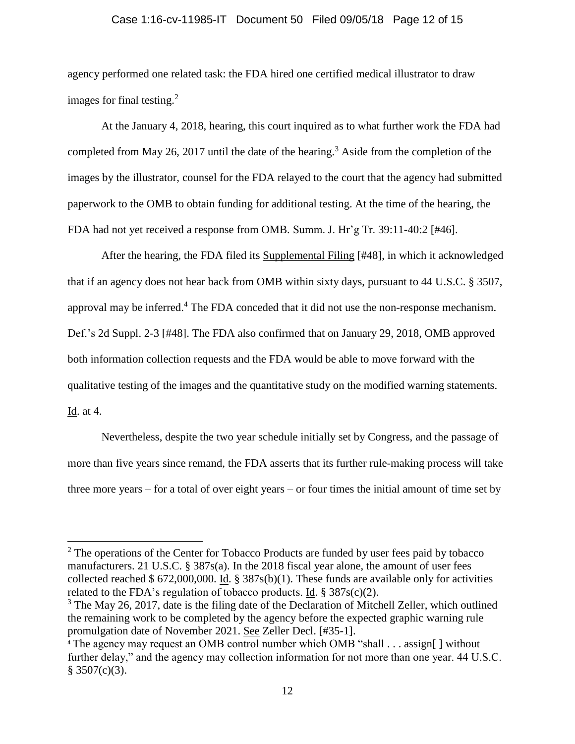# Case 1:16-cv-11985-IT Document 50 Filed 09/05/18 Page 12 of 15

agency performed one related task: the FDA hired one certified medical illustrator to draw images for final testing. $^{2}$ 

At the January 4, 2018, hearing, this court inquired as to what further work the FDA had completed from May 26, 2017 until the date of the hearing.<sup>3</sup> Aside from the completion of the images by the illustrator, counsel for the FDA relayed to the court that the agency had submitted paperwork to the OMB to obtain funding for additional testing. At the time of the hearing, the FDA had not yet received a response from OMB. Summ. J. Hr'g Tr. 39:11-40:2 [#46].

After the hearing, the FDA filed its Supplemental Filing [#48], in which it acknowledged that if an agency does not hear back from OMB within sixty days, pursuant to 44 U.S.C. § 3507, approval may be inferred.<sup>4</sup> The FDA conceded that it did not use the non-response mechanism. Def.'s 2d Suppl. 2-3 [#48]. The FDA also confirmed that on January 29, 2018, OMB approved both information collection requests and the FDA would be able to move forward with the qualitative testing of the images and the quantitative study on the modified warning statements. Id. at 4.

Nevertheless, despite the two year schedule initially set by Congress, and the passage of more than five years since remand, the FDA asserts that its further rule-making process will take three more years – for a total of over eight years – or four times the initial amount of time set by

 $\overline{\phantom{a}}$ 

<sup>&</sup>lt;sup>2</sup> The operations of the Center for Tobacco Products are funded by user fees paid by tobacco manufacturers. 21 U.S.C. § 387s(a). In the 2018 fiscal year alone, the amount of user fees collected reached \$ 672,000,000. Id. § 387s(b)(1). These funds are available only for activities related to the FDA's regulation of tobacco products. Id.  $\S 387s(c)(2)$ .

<sup>&</sup>lt;sup>3</sup> The May 26, 2017, date is the filing date of the Declaration of Mitchell Zeller, which outlined the remaining work to be completed by the agency before the expected graphic warning rule promulgation date of November 2021. See Zeller Decl. [#35-1].

<sup>&</sup>lt;sup>4</sup> The agency may request an OMB control number which OMB "shall . . . assign [ ] without further delay," and the agency may collection information for not more than one year. 44 U.S.C.  $§ 3507(c)(3).$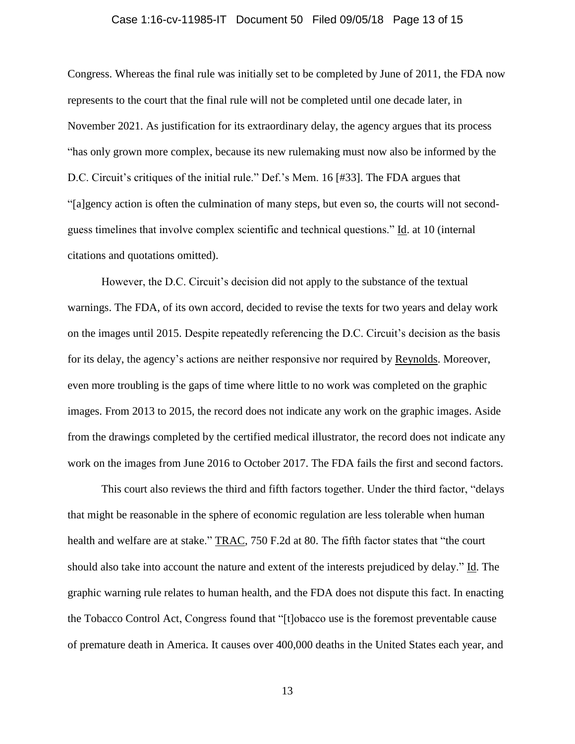### Case 1:16-cv-11985-IT Document 50 Filed 09/05/18 Page 13 of 15

Congress. Whereas the final rule was initially set to be completed by June of 2011, the FDA now represents to the court that the final rule will not be completed until one decade later, in November 2021. As justification for its extraordinary delay, the agency argues that its process "has only grown more complex, because its new rulemaking must now also be informed by the D.C. Circuit's critiques of the initial rule." Def.'s Mem. 16 [#33]. The FDA argues that "[a]gency action is often the culmination of many steps, but even so, the courts will not secondguess timelines that involve complex scientific and technical questions." Id. at 10 (internal citations and quotations omitted).

However, the D.C. Circuit's decision did not apply to the substance of the textual warnings. The FDA, of its own accord, decided to revise the texts for two years and delay work on the images until 2015. Despite repeatedly referencing the D.C. Circuit's decision as the basis for its delay, the agency's actions are neither responsive nor required by Reynolds. Moreover, even more troubling is the gaps of time where little to no work was completed on the graphic images. From 2013 to 2015, the record does not indicate any work on the graphic images. Aside from the drawings completed by the certified medical illustrator, the record does not indicate any work on the images from June 2016 to October 2017. The FDA fails the first and second factors.

This court also reviews the third and fifth factors together. Under the third factor, "delays that might be reasonable in the sphere of economic regulation are less tolerable when human health and welfare are at stake." TRAC, 750 F.2d at 80. The fifth factor states that "the court should also take into account the nature and extent of the interests prejudiced by delay." Id. The graphic warning rule relates to human health, and the FDA does not dispute this fact. In enacting the Tobacco Control Act, Congress found that "[t]obacco use is the foremost preventable cause of premature death in America. It causes over 400,000 deaths in the United States each year, and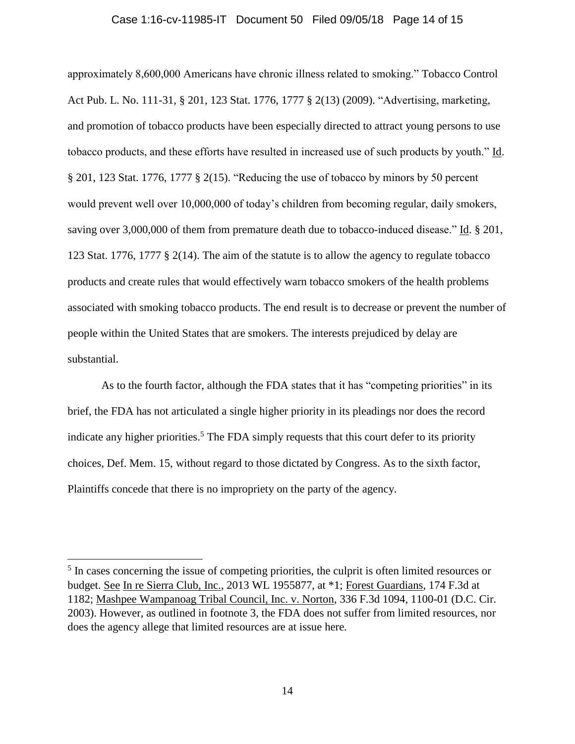### Case 1:16-cv-11985-IT Document 50 Filed 09/05/18 Page 14 of 15

approximately 8,600,000 Americans have chronic illness related to smoking." Tobacco Control Act Pub. L. No. 111-31, § 201, 123 Stat. 1776, 1777 § 2(13) (2009). "Advertising, marketing, and promotion of tobacco products have been especially directed to attract young persons to use tobacco products, and these efforts have resulted in increased use of such products by youth." Id. § 201, 123 Stat. 1776, 1777 § 2(15). "Reducing the use of tobacco by minors by 50 percent would prevent well over 10,000,000 of today's children from becoming regular, daily smokers, saving over 3,000,000 of them from premature death due to tobacco-induced disease." Id. § 201, 123 Stat. 1776, 1777 § 2(14). The aim of the statute is to allow the agency to regulate tobacco products and create rules that would effectively warn tobacco smokers of the health problems associated with smoking tobacco products. The end result is to decrease or prevent the number of people within the United States that are smokers. The interests prejudiced by delay are substantial.

As to the fourth factor, although the FDA states that it has "competing priorities" in its brief, the FDA has not articulated a single higher priority in its pleadings nor does the record indicate any higher priorities.<sup>5</sup> The FDA simply requests that this court defer to its priority choices, Def. Mem. 15, without regard to those dictated by Congress. As to the sixth factor, Plaintiffs concede that there is no impropriety on the party of the agency.

 $\overline{\phantom{a}}$ 

<sup>&</sup>lt;sup>5</sup> In cases concerning the issue of competing priorities, the culprit is often limited resources or budget. See In re Sierra Club, Inc., 2013 WL 1955877, at \*1; Forest Guardians, 174 F.3d at 1182; Mashpee Wampanoag Tribal Council, Inc. v. Norton, 336 F.3d 1094, 1100-01 (D.C. Cir. 2003). However, as outlined in footnote 3, the FDA does not suffer from limited resources, nor does the agency allege that limited resources are at issue here.